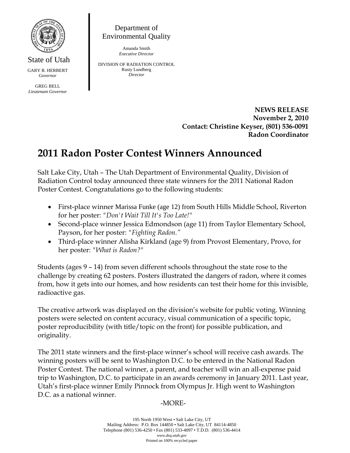

State of Utah GARY R. HERBERT *Governor* 

GREG BELL *Lieutenant Governor* 

Department of Environmental Quality

> Amanda Smith *Executive Director*

DIVISION OF RADIATION CONTROL Rusty Lundberg *Director* 

> **NEWS RELEASE November 2, 2010 Contact: Christine Keyser, (801) 536-0091 Radon Coordinator**

## **2011 Radon Poster Contest Winners Announced**

Salt Lake City, Utah – The Utah Department of Environmental Quality, Division of Radiation Control today announced three state winners for the 2011 National Radon Poster Contest. Congratulations go to the following students:

- First-place winner Marissa Funke (age 12) from South Hills Middle School, Riverton for her poster: *"Don't Wait Till It's Too Late!"*
- Second-place winner Jessica Edmondson (age 11) from Taylor Elementary School, Payson, for her poster: *"Fighting Radon."*
- Third-place winner Alisha Kirkland (age 9) from Provost Elementary, Provo, for her poster: *"What is Radon?"*

Students (ages 9 – 14) from seven different schools throughout the state rose to the challenge by creating 62 posters. Posters illustrated the dangers of radon, where it comes from, how it gets into our homes, and how residents can test their home for this invisible, radioactive gas.

The creative artwork was displayed on the division's website for public voting. Winning posters were selected on content accuracy, visual communication of a specific topic, poster reproducibility (with title/topic on the front) for possible publication, and originality.

The 2011 state winners and the first-place winner's school will receive cash awards. The winning posters will be sent to Washington D.C. to be entered in the National Radon Poster Contest. The national winner, a parent, and teacher will win an all-expense paid trip to Washington, D.C. to participate in an awards ceremony in January 2011. Last year, Utah's first-place winner Emily Pinnock from Olympus Jr. High went to Washington D.C. as a national winner.

## -MORE-